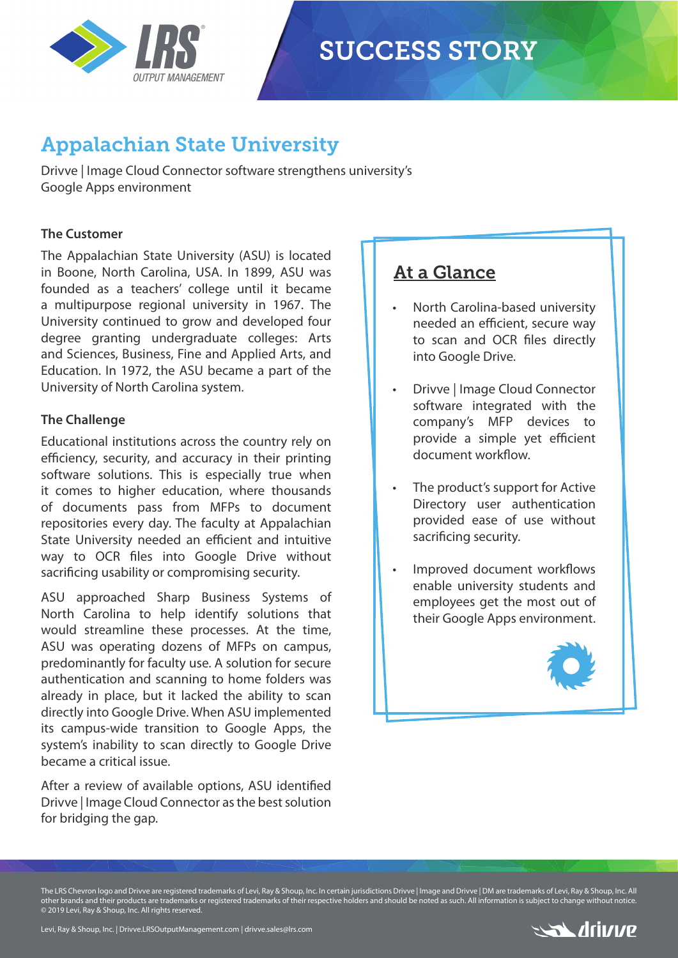

# **SUCCESS STORY**

## Appalachian State University

Drivve | Image Cloud Connector software strengthens university's Google Apps environment

## **The Customer**

The Appalachian State University (ASU) is located in Boone, North Carolina, USA. In 1899, ASU was founded as a teachers' college until it became a multipurpose regional university in 1967. The University continued to grow and developed four degree granting undergraduate colleges: Arts and Sciences, Business, Fine and Applied Arts, and Education. In 1972, the ASU became a part of the University of North Carolina system.

## **The Challenge**

Educational institutions across the country rely on efficiency, security, and accuracy in their printing software solutions. This is especially true when it comes to higher education, where thousands of documents pass from MFPs to document repositories every day. The faculty at Appalachian State University needed an efficient and intuitive way to OCR files into Google Drive without sacrificing usability or compromising security.

ASU approached Sharp Business Systems of North Carolina to help identify solutions that would streamline these processes. At the time, ASU was operating dozens of MFPs on campus, predominantly for faculty use. A solution for secure authentication and scanning to home folders was already in place, but it lacked the ability to scan directly into Google Drive. When ASU implemented its campus-wide transition to Google Apps, the system's inability to scan directly to Google Drive became a critical issue.

After a review of available options, ASU identified Drivve | Image Cloud Connector as the best solution for bridging the gap.

## At a Glance

- North Carolina-based university needed an efficient, secure way to scan and OCR files directly into Google Drive.
- Drivve | Image Cloud Connector software integrated with the company's MFP devices to provide a simple yet efficient document workflow
- The product's support for Active Directory user authentication provided ease of use without sacrificing security.
- Improved document workflows enable university students and employees get the most out of their Google Apps environment.



The LRS Chevron logo and Drivve are registered trademarks of Levi, Ray & Shoup, Inc. In certain jurisdictions Drivve | Image and Drivve | DM are trademarks of Levi, Ray & Shoup, Inc. All other brands and their products are trademarks or registered trademarks of their respective holders and should be noted as such. All information is subject to change without notice. © 2019 Levi, Ray & Shoup, Inc. All rights reserved.